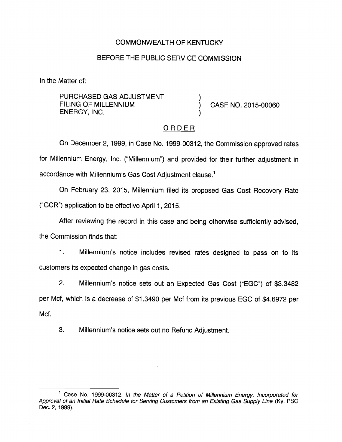## COMMONWEALTH OF KENTUCKY

### BEFORE THE PUBLIC SERVICE COMMISSION

In the Matter of:

PURCHASED GAS ADJUSTMENT FILING OF MILLENNIUM  $\overrightarrow{O}$  CASE NO. 2015-00060 ENERGY, INC. )

#### ORDER

On December 2, 1999, in Case No. 1999-00312, the Commission approved rates for Millennium Energy, Inc. ("Millennium") and provided for their further adjustment in accordance with Millennium's Gas Cost Adjustment clause.<sup>1</sup>

On February 23, 2015, Millennium filed its proposed Gas Cost Recovery Rate ("GCR") application to be effective April 1, 2015.

After reviewing the record in this case and being otherwise sufficiently advised,

the Commission finds that:

1. Millennium's notice includes revised rates designed to pass on to its customers its expected change in gas costs.

2. Millennium's notice sets out an Expected Gas Cost ("EGC") of \$3.3482 per Mcf, which is a decrease of \$1.3490 per Mcf from its previous EGC of \$4.6972 per Mcf.

3. Millennium's notice sets out no Refund Adjustment.

<sup>&</sup>lt;sup>1</sup> Case No. 1999-00312, In the Matter of a Petition of Millennium Energy, Incorporated for Approval of an initial Rate Schedule for Serving Customers from an Existing Gas Supply Line (Ky. PSC Dec. 2, 1999).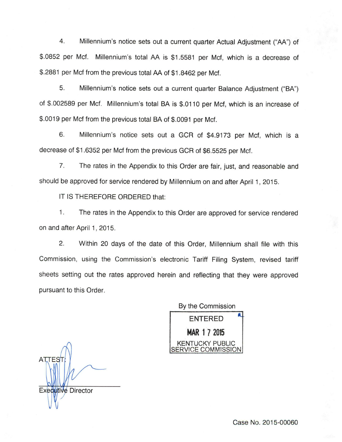4. Millennium's notice sets out a current quarter Actual Adjustment ("AA") of \$.0852 per Met. Millennium's total AA is \$1.5581 per Met, which is a decrease of \$.2881 per Mcf from the previous total AA of \$1.8462 per Mcf.

5. Millennium's notice sets out a current quarter Balance Adjustment ("BA") of \$.002589 per Mcf. Millennium's total BA is \$.0110 per Mcf, which is an increase of \$.0019 per Mcf from the previous total BA of \$.0091 per Mcf.

6. Millennium's notice sets out a GCR of \$4.9173 per Mcf, which is a decrease of \$1.6352 per Mcf from the previous GCR of \$6.5525 per Mcf.

7. The rates in the Appendix to this Order are fair, just, and reasonable and should be approved for service rendered by Millennium on and after April 1, 2015.

IT IS THEREFORE ORDERED that:

1. The rates in the Appendix to this Order are approved for service rendered on and after April 1, 2015.

2. Within 20 days of the date of this Order, Millennium shall file with this Commission, using the Commission's electronic Tariff Filing System, revised tariff sheets setting out the rates approved herein and reflecting that they were approved pursuant to this Order.

By the Commission ENTERED MAR 1 7 2015 KENTUCKY PUBLIC COMMISSION

**ATTES** Executive Director

Case No. 2015-00060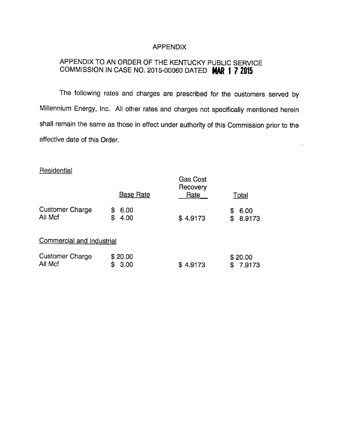#### APPENDIX

# APPENDIX TO AN ORDER OF THE KENTUCKY PUBLIC SERVICE COMMISSION IN CASE NO. 2015-00060 DATED MAR 1 7 2015

The following rates and charges are prescribed for the customers served by Millennium Energy, Inc. All other rates and charges not specifically mentioned herein shall remain the same as those in effect under authority of this Commission prior to the effective date of this Order.

## **Residential**

|                                   | <b>Base Rate</b>        | <b>Gas Cost</b><br>Recovery<br>Rate | <u>Total</u>             |
|-----------------------------------|-------------------------|-------------------------------------|--------------------------|
| <b>Customer Charge</b><br>All Mcf | 6.00<br>S<br>\$<br>4.00 | \$4.9173                            | 6.00<br>S<br>8.9173<br>S |
| Commercial and Industrial         |                         |                                     |                          |
| <b>Customer Charge</b><br>All Mcf | \$20.00<br>3.00<br>S    | 4.9173<br>\$                        | \$20.00<br>7.9173<br>S   |